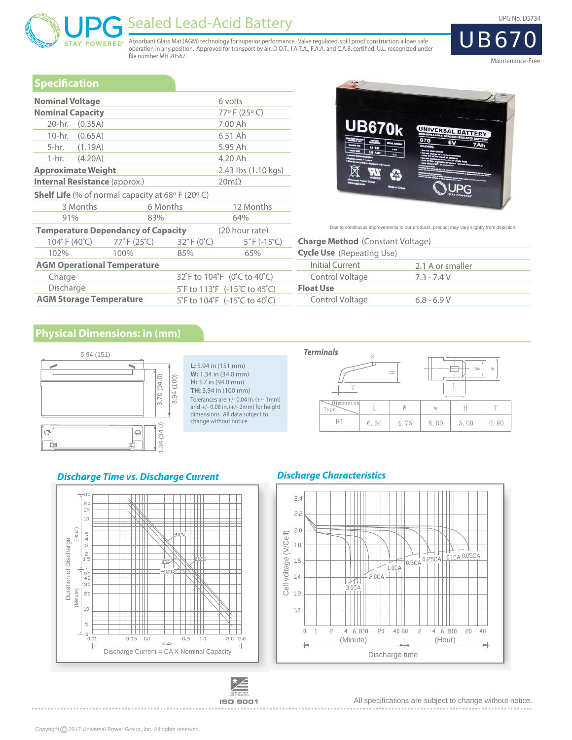# Sealed Lead-Acid Battery

Absorbant Glass Mat (AGM) technology for superior performance. Valve regulated, spill proof construction allows safe operation in any position. Approved for transport by air. D.O.T., I.A.T.A., F.A.A. and C.A.B. certified. U.L. recognized under file number MH 20567.

UPG No. D5734



Maintenance-Free

#### **Specification**

**STAY POWERED®** 

| <b>Nominal Voltage</b>                                              |          |                                 | 6 volts                          |  |  |  |
|---------------------------------------------------------------------|----------|---------------------------------|----------------------------------|--|--|--|
| <b>Nominal Capacity</b>                                             |          |                                 | 77°F (25°C)                      |  |  |  |
| 20-hr. (0.35A)                                                      |          |                                 | 7.00 Ah                          |  |  |  |
| 10-hr. (0.65A)                                                      |          |                                 | 6.51 Ah                          |  |  |  |
| 5-hr. (1.19A)                                                       |          |                                 | 5.95 Ah                          |  |  |  |
| 1-hr. $(4.20A)$                                                     |          |                                 | 4.20 Ah                          |  |  |  |
| <b>Approximate Weight</b>                                           |          | 2.43 lbs (1.10 kgs)             |                                  |  |  |  |
| <b>Internal Resistance (approx.)</b>                                |          |                                 | $20m\Omega$                      |  |  |  |
| Shelf Life (% of normal capacity at 68° F (20° C)                   |          |                                 |                                  |  |  |  |
| 3 Months                                                            | 6 Months |                                 | 12 Months                        |  |  |  |
| 91%                                                                 | 83%      |                                 | 64%                              |  |  |  |
| <b>Temperature Dependancy of Capacity</b>                           |          |                                 | (20 hour rate)                   |  |  |  |
| $104^{\circ}$ F (40 $^{\circ}$ C) 77 $^{\circ}$ F (25 $^{\circ}$ C) |          | $32^{\circ}$ F (0 $^{\circ}$ C) | $5^{\circ}$ F (-15 $^{\circ}$ C) |  |  |  |
| 102%                                                                | 100%     | 85%                             | 65%                              |  |  |  |
| <b>AGM Operational Temperature</b>                                  |          |                                 |                                  |  |  |  |
| Charge                                                              |          | 32°F to 104°F (0°C to 40°C)     |                                  |  |  |  |
| Discharge                                                           |          |                                 | 5°F to 113°F (-15°C to 45°C)     |  |  |  |
| <b>AGM Storage Temperature</b>                                      |          |                                 | 5°F to 104°F (-15°C to 40°C)     |  |  |  |



Due to continuous improvements to our products, product may vary slightly from depiction.

| <b>Charge Method</b> (Constant Voltage) |                  |
|-----------------------------------------|------------------|
| <b>Cycle Use</b> (Repeating Use)        |                  |
| Initial Current                         | 2.1 A or smaller |
| Control Voltage                         | 73-74V           |
| <b>Float Use</b>                        |                  |
| Control Voltage                         | $6.8 - 6.9 V$    |

### **Physical Dimensions: in (mm)**



#### **L:** 5.94 in (151 mm) **W:** 1.34 in (34.0 mm) **H:** 3.7 in (94.0 mm) **TH:** 3.94 in (100 mm) Tolerances are +/- 0.04 in. (+/- 1mm) and +/- 0.08 in. (+/- 2mm) for height dimensions. All data subject to change without notice.

#### **Terminals** ø  $\uparrow$ F÷  $\pm$ L  $\mathbb W$  $\rm H$  $\bar{T}$  $\mathbb{L}$  $\bar{W}$ ľvp 6.50 0.80 4.75 6.00 5.00

#### **Discharge Time vs. Discharge Current**



# **Discharge Characteristics**